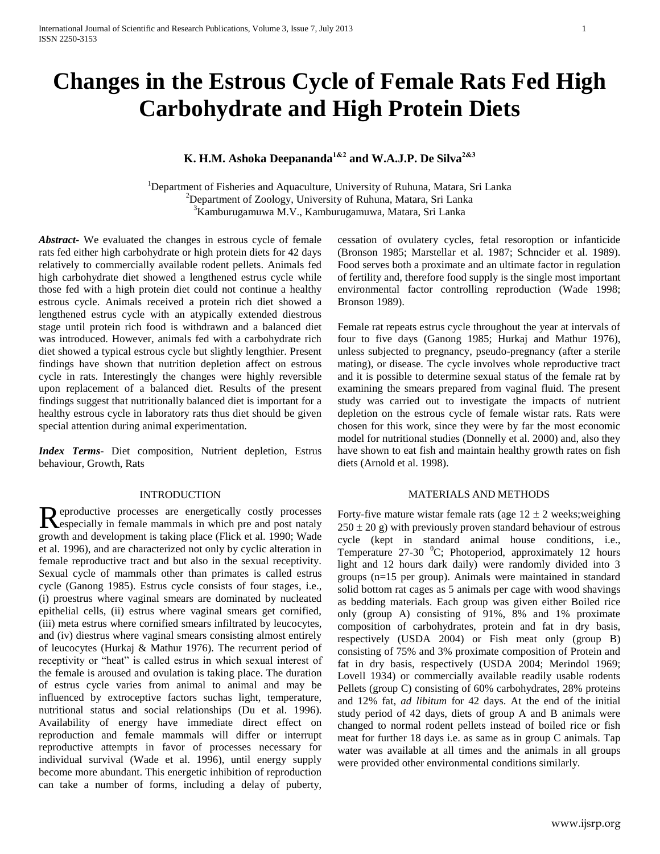# **Changes in the Estrous Cycle of Female Rats Fed High Carbohydrate and High Protein Diets**

# **K. H.M. Ashoka Deepananda1&2 and W.A.J.P. De Silva2&3**

<sup>1</sup>Department of Fisheries and Aquaculture, University of Ruhuna, Matara, Sri Lanka <sup>2</sup>Department of Zoology, University of Ruhuna, Matara, Sri Lanka <sup>3</sup>Kamburugamuwa M.V., Kamburugamuwa, Matara, Sri Lanka

*Abstract***-** We evaluated the changes in estrous cycle of female rats fed either high carbohydrate or high protein diets for 42 days relatively to commercially available rodent pellets. Animals fed high carbohydrate diet showed a lengthened estrus cycle while those fed with a high protein diet could not continue a healthy estrous cycle. Animals received a protein rich diet showed a lengthened estrus cycle with an atypically extended diestrous stage until protein rich food is withdrawn and a balanced diet was introduced. However, animals fed with a carbohydrate rich diet showed a typical estrous cycle but slightly lengthier. Present findings have shown that nutrition depletion affect on estrous cycle in rats. Interestingly the changes were highly reversible upon replacement of a balanced diet. Results of the present findings suggest that nutritionally balanced diet is important for a healthy estrous cycle in laboratory rats thus diet should be given special attention during animal experimentation.

*Index Terms*- Diet composition, Nutrient depletion, Estrus behaviour, Growth, Rats

#### INTRODUCTION

**D** eproductive processes are energetically costly processes Reproductive processes are energetically costly processes especially in female mammals in which pre and post nataly growth and development is taking place (Flick et al. 1990; Wade et al. 1996), and are characterized not only by cyclic alteration in female reproductive tract and but also in the sexual receptivity. Sexual cycle of mammals other than primates is called estrus cycle (Ganong 1985). Estrus cycle consists of four stages, i.e., (i) proestrus where vaginal smears are dominated by nucleated epithelial cells, (ii) estrus where vaginal smears get cornified, (iii) meta estrus where cornified smears infiltrated by leucocytes, and (iv) diestrus where vaginal smears consisting almost entirely of leucocytes (Hurkaj & Mathur 1976). The recurrent period of receptivity or "heat" is called estrus in which sexual interest of the female is aroused and ovulation is taking place. The duration of estrus cycle varies from animal to animal and may be influenced by extroceptive factors suchas light, temperature, nutritional status and social relationships (Du et al. 1996). Availability of energy have immediate direct effect on reproduction and female mammals will differ or interrupt reproductive attempts in favor of processes necessary for individual survival (Wade et al. 1996), until energy supply become more abundant. This energetic inhibition of reproduction can take a number of forms, including a delay of puberty,

cessation of ovulatery cycles, fetal resoroption or infanticide (Bronson 1985; Marstellar et al. 1987; Schncider et al. 1989). Food serves both a proximate and an ultimate factor in regulation of fertility and, therefore food supply is the single most important environmental factor controlling reproduction (Wade 1998; Bronson 1989).

Female rat repeats estrus cycle throughout the year at intervals of four to five days (Ganong 1985; Hurkaj and Mathur 1976), unless subjected to pregnancy, pseudo-pregnancy (after a sterile mating), or disease. The cycle involves whole reproductive tract and it is possible to determine sexual status of the female rat by examining the smears prepared from vaginal fluid. The present study was carried out to investigate the impacts of nutrient depletion on the estrous cycle of female wistar rats. Rats were chosen for this work, since they were by far the most economic model for nutritional studies (Donnelly et al. 2000) and, also they have shown to eat fish and maintain healthy growth rates on fish diets (Arnold et al. 1998).

#### MATERIALS AND METHODS

Forty-five mature wistar female rats (age  $12 \pm 2$  weeks; weighing  $250 \pm 20$  g) with previously proven standard behaviour of estrous cycle (kept in standard animal house conditions, i.e., Temperature  $27-30$  <sup>0</sup>C; Photoperiod, approximately 12 hours light and 12 hours dark daily) were randomly divided into 3 groups (n=15 per group). Animals were maintained in standard solid bottom rat cages as 5 animals per cage with wood shavings as bedding materials. Each group was given either Boiled rice only (group A) consisting of 91%, 8% and 1% proximate composition of carbohydrates, protein and fat in dry basis, respectively (USDA 2004) or Fish meat only (group B) consisting of 75% and 3% proximate composition of Protein and fat in dry basis, respectively (USDA 2004; Merindol 1969; Lovell 1934) or commercially available readily usable rodents Pellets (group C) consisting of 60% carbohydrates, 28% proteins and 12% fat, *ad libitum* for 42 days. At the end of the initial study period of 42 days, diets of group A and B animals were changed to normal rodent pellets instead of boiled rice or fish meat for further 18 days i.e. as same as in group C animals. Tap water was available at all times and the animals in all groups were provided other environmental conditions similarly.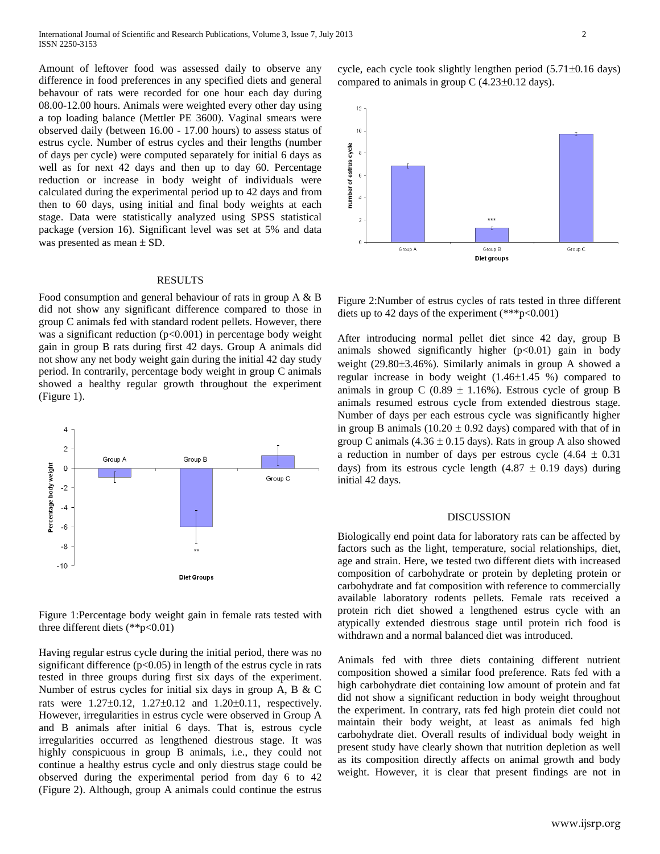Amount of leftover food was assessed daily to observe any difference in food preferences in any specified diets and general behavour of rats were recorded for one hour each day during 08.00-12.00 hours. Animals were weighted every other day using a top loading balance (Mettler PE 3600). Vaginal smears were observed daily (between 16.00 - 17.00 hours) to assess status of estrus cycle. Number of estrus cycles and their lengths (number of days per cycle) were computed separately for initial 6 days as well as for next 42 days and then up to day 60. Percentage reduction or increase in body weight of individuals were calculated during the experimental period up to 42 days and from then to 60 days, using initial and final body weights at each stage. Data were statistically analyzed using SPSS statistical package (version 16). Significant level was set at 5% and data was presented as mean  $\pm$  SD.

# RESULTS

Food consumption and general behaviour of rats in group A & B did not show any significant difference compared to those in group C animals fed with standard rodent pellets. However, there was a significant reduction  $(p<0.001)$  in percentage body weight gain in group B rats during first 42 days. Group A animals did not show any net body weight gain during the initial 42 day study period. In contrarily, percentage body weight in group C animals showed a healthy regular growth throughout the experiment (Figure 1).



Figure 1:Percentage body weight gain in female rats tested with three different diets (\*\*p<0.01)

Having regular estrus cycle during the initial period, there was no significant difference  $(p<0.05)$  in length of the estrus cycle in rats tested in three groups during first six days of the experiment. Number of estrus cycles for initial six days in group A, B & C rats were  $1.27 \pm 0.12$ ,  $1.27 \pm 0.12$  and  $1.20 \pm 0.11$ , respectively. However, irregularities in estrus cycle were observed in Group A and B animals after initial 6 days. That is, estrous cycle irregularities occurred as lengthened diestrous stage. It was highly conspicuous in group B animals, i.e., they could not continue a healthy estrus cycle and only diestrus stage could be observed during the experimental period from day 6 to 42 (Figure 2). Although, group A animals could continue the estrus

cycle, each cycle took slightly lengthen period  $(5.71\pm0.16$  days) compared to animals in group  $C$  (4.23 $\pm$ 0.12 days).



Figure 2:Number of estrus cycles of rats tested in three different diets up to 42 days of the experiment (\*\*\*p<0.001)

After introducing normal pellet diet since 42 day, group B animals showed significantly higher  $(p<0.01)$  gain in body weight  $(29.80\pm3.46\%)$ . Similarly animals in group A showed a regular increase in body weight  $(1.46\pm1.45 \%)$  compared to animals in group C (0.89  $\pm$  1.16%). Estrous cycle of group B animals resumed estrous cycle from extended diestrous stage. Number of days per each estrous cycle was significantly higher in group B animals  $(10.20 \pm 0.92$  days) compared with that of in group C animals  $(4.36 \pm 0.15 \text{ days})$ . Rats in group A also showed a reduction in number of days per estrous cycle  $(4.64 \pm 0.31)$ days) from its estrous cycle length (4.87  $\pm$  0.19 days) during initial 42 days.

#### DISCUSSION

Biologically end point data for laboratory rats can be affected by factors such as the light, temperature, social relationships, diet, age and strain. Here, we tested two different diets with increased composition of carbohydrate or protein by depleting protein or carbohydrate and fat composition with reference to commercially available laboratory rodents pellets. Female rats received a protein rich diet showed a lengthened estrus cycle with an atypically extended diestrous stage until protein rich food is withdrawn and a normal balanced diet was introduced.

Animals fed with three diets containing different nutrient composition showed a similar food preference. Rats fed with a high carbohydrate diet containing low amount of protein and fat did not show a significant reduction in body weight throughout the experiment. In contrary, rats fed high protein diet could not maintain their body weight, at least as animals fed high carbohydrate diet. Overall results of individual body weight in present study have clearly shown that nutrition depletion as well as its composition directly affects on animal growth and body weight. However, it is clear that present findings are not in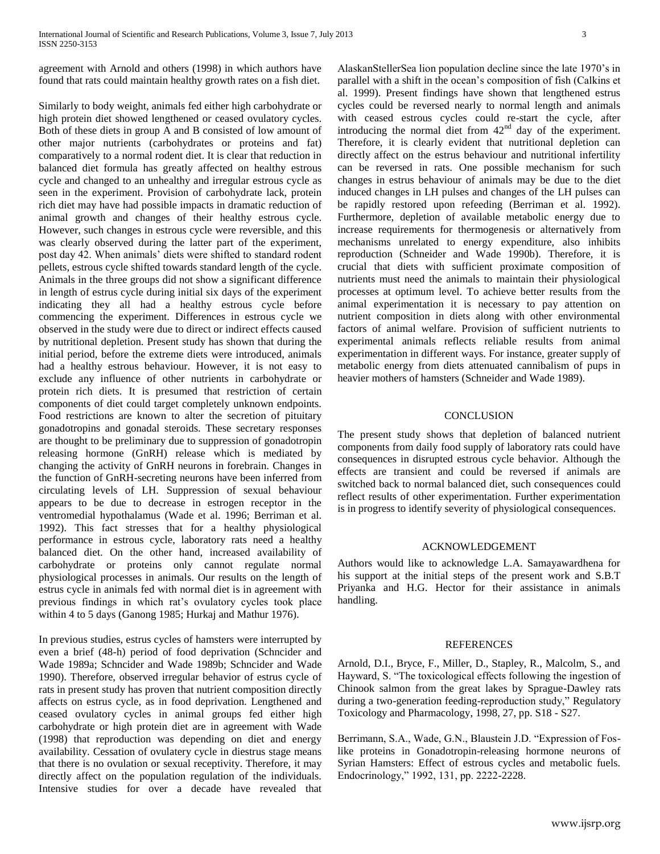agreement with Arnold and others (1998) in which authors have found that rats could maintain healthy growth rates on a fish diet.

Similarly to body weight, animals fed either high carbohydrate or high protein diet showed lengthened or ceased ovulatory cycles. Both of these diets in group A and B consisted of low amount of other major nutrients (carbohydrates or proteins and fat) comparatively to a normal rodent diet. It is clear that reduction in balanced diet formula has greatly affected on healthy estrous cycle and changed to an unhealthy and irregular estrous cycle as seen in the experiment. Provision of carbohydrate lack, protein rich diet may have had possible impacts in dramatic reduction of animal growth and changes of their healthy estrous cycle. However, such changes in estrous cycle were reversible, and this was clearly observed during the latter part of the experiment, post day 42. When animals' diets were shifted to standard rodent pellets, estrous cycle shifted towards standard length of the cycle. Animals in the three groups did not show a significant difference in length of estrus cycle during initial six days of the experiment indicating they all had a healthy estrous cycle before commencing the experiment. Differences in estrous cycle we observed in the study were due to direct or indirect effects caused by nutritional depletion. Present study has shown that during the initial period, before the extreme diets were introduced, animals had a healthy estrous behaviour. However, it is not easy to exclude any influence of other nutrients in carbohydrate or protein rich diets. It is presumed that restriction of certain components of diet could target completely unknown endpoints. Food restrictions are known to alter the secretion of pituitary gonadotropins and gonadal steroids. These secretary responses are thought to be preliminary due to suppression of gonadotropin releasing hormone (GnRH) release which is mediated by changing the activity of GnRH neurons in forebrain. Changes in the function of GnRH-secreting neurons have been inferred from circulating levels of LH. Suppression of sexual behaviour appears to be due to decrease in estrogen receptor in the ventromedial hypothalamus (Wade et al. 1996; Berriman et al. 1992). This fact stresses that for a healthy physiological performance in estrous cycle, laboratory rats need a healthy balanced diet. On the other hand, increased availability of carbohydrate or proteins only cannot regulate normal physiological processes in animals. Our results on the length of estrus cycle in animals fed with normal diet is in agreement with previous findings in which rat's ovulatory cycles took place within 4 to 5 days (Ganong 1985; Hurkaj and Mathur 1976).

In previous studies, estrus cycles of hamsters were interrupted by even a brief (48-h) period of food deprivation (Schncider and Wade 1989a; Schncider and Wade 1989b; Schncider and Wade 1990). Therefore, observed irregular behavior of estrus cycle of rats in present study has proven that nutrient composition directly affects on estrus cycle, as in food deprivation. Lengthened and ceased ovulatory cycles in animal groups fed either high carbohydrate or high protein diet are in agreement with Wade (1998) that reproduction was depending on diet and energy availability. Cessation of ovulatery cycle in diestrus stage means that there is no ovulation or sexual receptivity. Therefore, it may directly affect on the population regulation of the individuals. Intensive studies for over a decade have revealed that

AlaskanStellerSea lion population decline since the late 1970's in parallel with a shift in the ocean's composition of fish (Calkins et al. 1999). Present findings have shown that lengthened estrus cycles could be reversed nearly to normal length and animals with ceased estrous cycles could re-start the cycle, after introducing the normal diet from  $42<sup>nd</sup>$  day of the experiment. Therefore, it is clearly evident that nutritional depletion can directly affect on the estrus behaviour and nutritional infertility can be reversed in rats. One possible mechanism for such changes in estrus behaviour of animals may be due to the diet induced changes in LH pulses and changes of the LH pulses can be rapidly restored upon refeeding (Berriman et al. 1992). Furthermore, depletion of available metabolic energy due to increase requirements for thermogenesis or alternatively from mechanisms unrelated to energy expenditure, also inhibits reproduction (Schneider and Wade 1990b). Therefore, it is crucial that diets with sufficient proximate composition of nutrients must need the animals to maintain their physiological processes at optimum level. To achieve better results from the animal experimentation it is necessary to pay attention on nutrient composition in diets along with other environmental factors of animal welfare. Provision of sufficient nutrients to experimental animals reflects reliable results from animal experimentation in different ways. For instance, greater supply of metabolic energy from diets attenuated cannibalism of pups in heavier mothers of hamsters (Schneider and Wade 1989).

## **CONCLUSION**

The present study shows that depletion of balanced nutrient components from daily food supply of laboratory rats could have consequences in disrupted estrous cycle behavior. Although the effects are transient and could be reversed if animals are switched back to normal balanced diet, such consequences could reflect results of other experimentation. Further experimentation is in progress to identify severity of physiological consequences.

#### ACKNOWLEDGEMENT

Authors would like to acknowledge L.A. Samayawardhena for his support at the initial steps of the present work and S.B.T Priyanka and H.G. Hector for their assistance in animals handling.

#### REFERENCES

Arnold, D.I., Bryce, F., Miller, D., Stapley, R., Malcolm, S., and Hayward, S. "The toxicological effects following the ingestion of Chinook salmon from the great lakes by Sprague-Dawley rats during a two-generation feeding-reproduction study," Regulatory Toxicology and Pharmacology, 1998, 27, pp. S18 - S27.

Berrimann, S.A., Wade, G.N., Blaustein J.D. "Expression of Foslike proteins in Gonadotropin-releasing hormone neurons of Syrian Hamsters: Effect of estrous cycles and metabolic fuels. Endocrinology," 1992, 131, pp. 2222-2228.